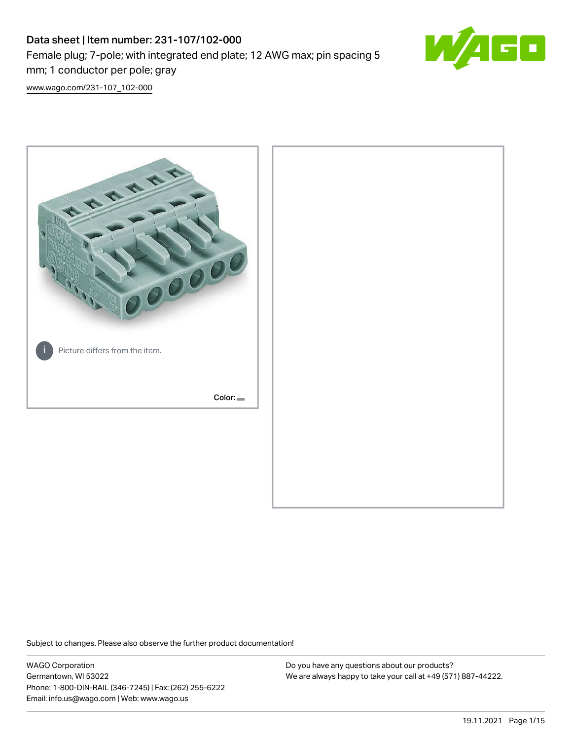# Data sheet | Item number: 231-107/102-000 Female plug; 7-pole; with integrated end plate; 12 AWG max; pin spacing 5 mm; 1 conductor per pole; gray



[www.wago.com/231-107\\_102-000](http://www.wago.com/231-107_102-000)



Subject to changes. Please also observe the further product documentation!

WAGO Corporation Germantown, WI 53022 Phone: 1-800-DIN-RAIL (346-7245) | Fax: (262) 255-6222 Email: info.us@wago.com | Web: www.wago.us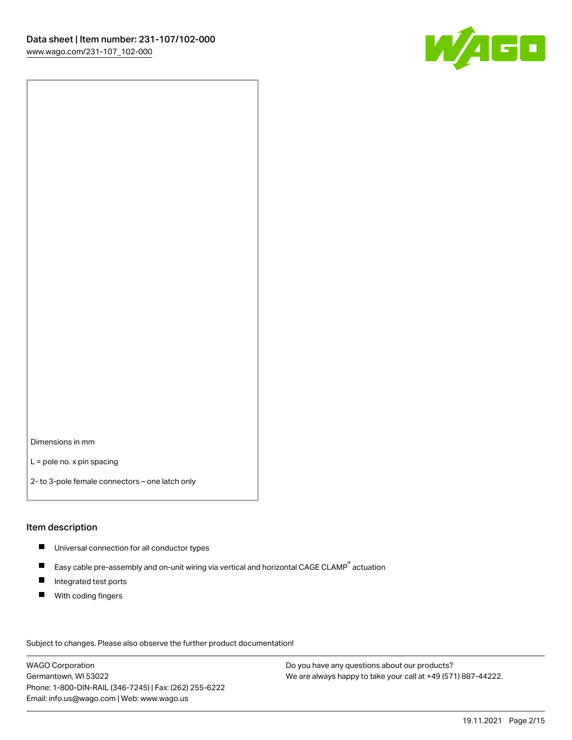

Dimensions in mm

L = pole no. x pin spacing

2- to 3-pole female connectors – one latch only

#### Item description

- **Universal connection for all conductor types**
- Easy cable pre-assembly and on-unit wiring via vertical and horizontal CAGE CLAMP<sup>®</sup> actuation  $\blacksquare$
- $\blacksquare$ Integrated test ports
- $\blacksquare$ With coding fingers

Subject to changes. Please also observe the further product documentation! Data

WAGO Corporation Germantown, WI 53022 Phone: 1-800-DIN-RAIL (346-7245) | Fax: (262) 255-6222 Email: info.us@wago.com | Web: www.wago.us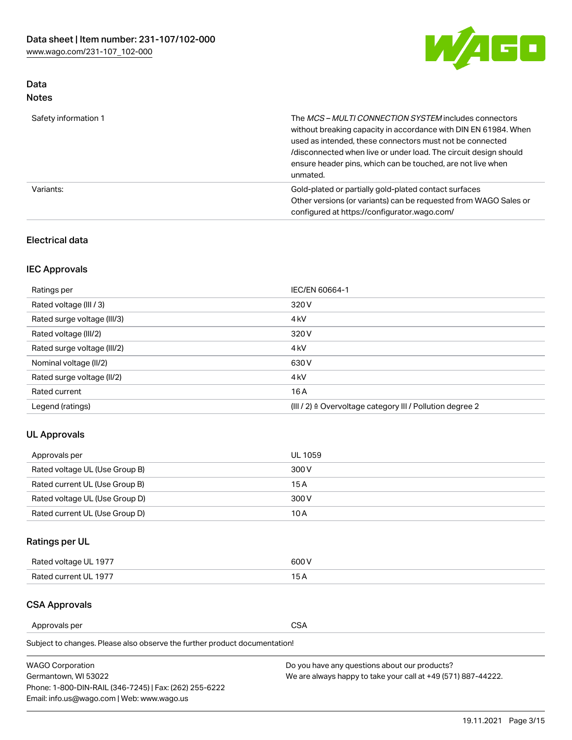

# Data Notes

| Safety information 1 | The MCS-MULTI CONNECTION SYSTEM includes connectors<br>without breaking capacity in accordance with DIN EN 61984. When<br>used as intended, these connectors must not be connected<br>/disconnected when live or under load. The circuit design should<br>ensure header pins, which can be touched, are not live when<br>unmated. |
|----------------------|-----------------------------------------------------------------------------------------------------------------------------------------------------------------------------------------------------------------------------------------------------------------------------------------------------------------------------------|
| Variants:            | Gold-plated or partially gold-plated contact surfaces<br>Other versions (or variants) can be requested from WAGO Sales or<br>configured at https://configurator.wago.com/                                                                                                                                                         |

# Electrical data

# IEC Approvals

| Ratings per                 | IEC/EN 60664-1                                                        |
|-----------------------------|-----------------------------------------------------------------------|
| Rated voltage (III / 3)     | 320 V                                                                 |
| Rated surge voltage (III/3) | 4 <sub>k</sub> V                                                      |
| Rated voltage (III/2)       | 320 V                                                                 |
| Rated surge voltage (III/2) | 4 <sub>k</sub> V                                                      |
| Nominal voltage (II/2)      | 630 V                                                                 |
| Rated surge voltage (II/2)  | 4 <sub>k</sub> V                                                      |
| Rated current               | 16A                                                                   |
| Legend (ratings)            | $(III / 2)$ $\triangle$ Overvoltage category III / Pollution degree 2 |

# UL Approvals

| Approvals per                  | UL 1059 |
|--------------------------------|---------|
| Rated voltage UL (Use Group B) | 300 V   |
| Rated current UL (Use Group B) | 15 A    |
| Rated voltage UL (Use Group D) | 300 V   |
| Rated current UL (Use Group D) | 10 A    |

# Ratings per UL

| Rated voltage UL 1977 | 600 V         |
|-----------------------|---------------|
| Rated current UL 1977 | $\sim$ $\sim$ |

# CSA Approvals

Approvals per CSA

Subject to changes. Please also observe the further product documentation!

| <b>WAGO Corporation</b>                                | Do you have any questions about our products?                 |
|--------------------------------------------------------|---------------------------------------------------------------|
| Germantown, WI 53022                                   | We are always happy to take your call at +49 (571) 887-44222. |
| Phone: 1-800-DIN-RAIL (346-7245)   Fax: (262) 255-6222 |                                                               |
| Email: info.us@wago.com   Web: www.wago.us             |                                                               |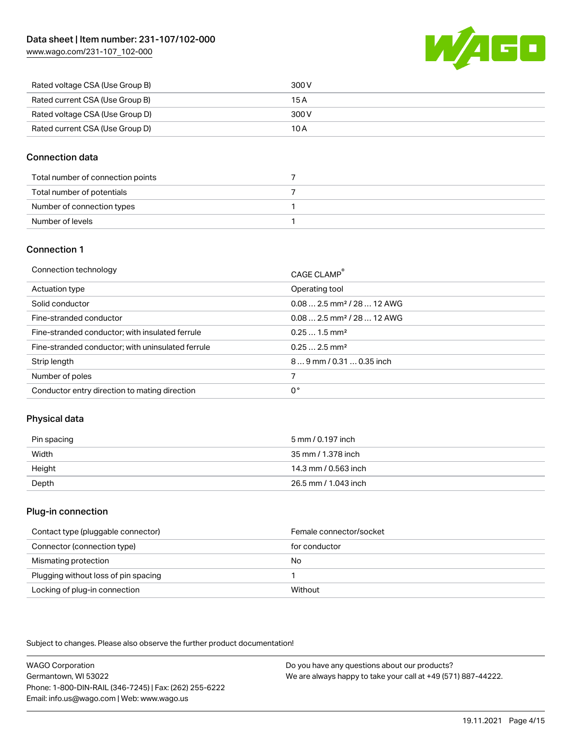[www.wago.com/231-107\\_102-000](http://www.wago.com/231-107_102-000)



| Rated voltage CSA (Use Group B) | 300 V |
|---------------------------------|-------|
| Rated current CSA (Use Group B) | 15 A  |
| Rated voltage CSA (Use Group D) | 300 V |
| Rated current CSA (Use Group D) | 10 A  |

## Connection data

| Total number of connection points |  |
|-----------------------------------|--|
| Total number of potentials        |  |
| Number of connection types        |  |
| Number of levels                  |  |

## Connection 1

| Connection technology                             | CAGE CLAMP®                             |
|---------------------------------------------------|-----------------------------------------|
| Actuation type                                    | Operating tool                          |
| Solid conductor                                   | $0.082.5$ mm <sup>2</sup> / 28  12 AWG  |
| Fine-stranded conductor                           | $0.08$ 2.5 mm <sup>2</sup> / 28  12 AWG |
| Fine-stranded conductor; with insulated ferrule   | $0.251.5$ mm <sup>2</sup>               |
| Fine-stranded conductor; with uninsulated ferrule | $0.252.5$ mm <sup>2</sup>               |
| Strip length                                      | 89 mm / 0.31  0.35 inch                 |
| Number of poles                                   |                                         |
| Conductor entry direction to mating direction     | 0°                                      |

# Physical data

| Pin spacing | 5 mm / 0.197 inch    |
|-------------|----------------------|
| Width       | 35 mm / 1.378 inch   |
| Height      | 14.3 mm / 0.563 inch |
| Depth       | 26.5 mm / 1.043 inch |

#### Plug-in connection

| Contact type (pluggable connector)   | Female connector/socket |
|--------------------------------------|-------------------------|
| Connector (connection type)          | for conductor           |
| Mismating protection                 | No                      |
| Plugging without loss of pin spacing |                         |
| Locking of plug-in connection        | Without                 |

Subject to changes. Please also observe the further product documentation!

WAGO Corporation Germantown, WI 53022 Phone: 1-800-DIN-RAIL (346-7245) | Fax: (262) 255-6222 Email: info.us@wago.com | Web: www.wago.us Do you have any questions about our products? We are always happy to take your call at +49 (571) 887-44222.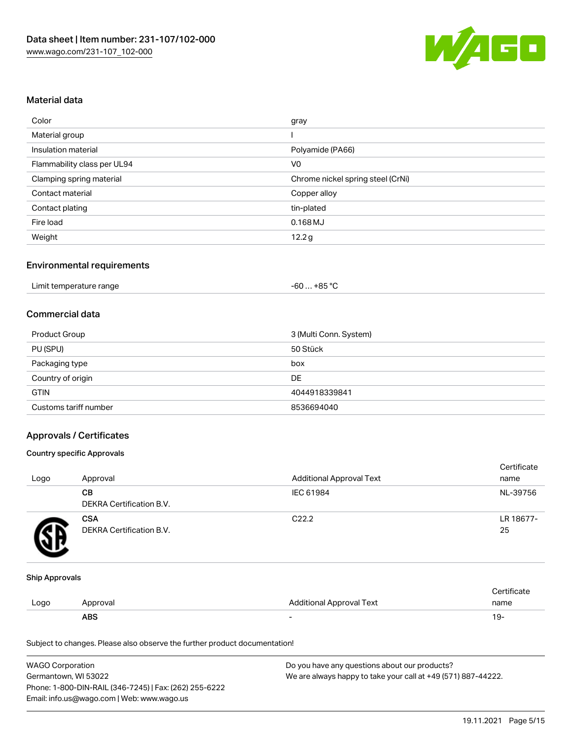

## Material data

| Color                       | gray                              |
|-----------------------------|-----------------------------------|
| Material group              |                                   |
| Insulation material         | Polyamide (PA66)                  |
| Flammability class per UL94 | V <sub>0</sub>                    |
| Clamping spring material    | Chrome nickel spring steel (CrNi) |
| Contact material            | Copper alloy                      |
| Contact plating             | tin-plated                        |
| Fire load                   | $0.168$ MJ                        |
| Weight                      | 12.2 <sub>g</sub>                 |

## Environmental requirements

| Limit temperature range | $+85 °C$<br>-60 … |  |
|-------------------------|-------------------|--|
|-------------------------|-------------------|--|

#### Commercial data

| Product Group         | 3 (Multi Conn. System) |
|-----------------------|------------------------|
| PU (SPU)              | 50 Stück               |
| Packaging type        | box                    |
| Country of origin     | DE                     |
| <b>GTIN</b>           | 4044918339841          |
| Customs tariff number | 8536694040             |

## Approvals / Certificates

#### Country specific Approvals

| Logo | Approval                               | <b>Additional Approval Text</b> | Certificate<br>name |
|------|----------------------------------------|---------------------------------|---------------------|
|      | CВ<br>DEKRA Certification B.V.         | IEC 61984                       | NL-39756            |
|      | <b>CSA</b><br>DEKRA Certification B.V. | C <sub>22.2</sub>               | LR 18677-<br>25     |

#### Ship Approvals

|      | ABS      |                          | - ك ا       |
|------|----------|--------------------------|-------------|
| Logo | Approval | Additional Approval Text | name        |
|      |          |                          | ∵ertificate |

Subject to changes. Please also observe the further product documentation!

| <b>WAGO Corporation</b>                                | Do you have any questions about our products?                 |
|--------------------------------------------------------|---------------------------------------------------------------|
| Germantown, WI 53022                                   | We are always happy to take your call at +49 (571) 887-44222. |
| Phone: 1-800-DIN-RAIL (346-7245)   Fax: (262) 255-6222 |                                                               |
| Email: info.us@wago.com   Web: www.wago.us             |                                                               |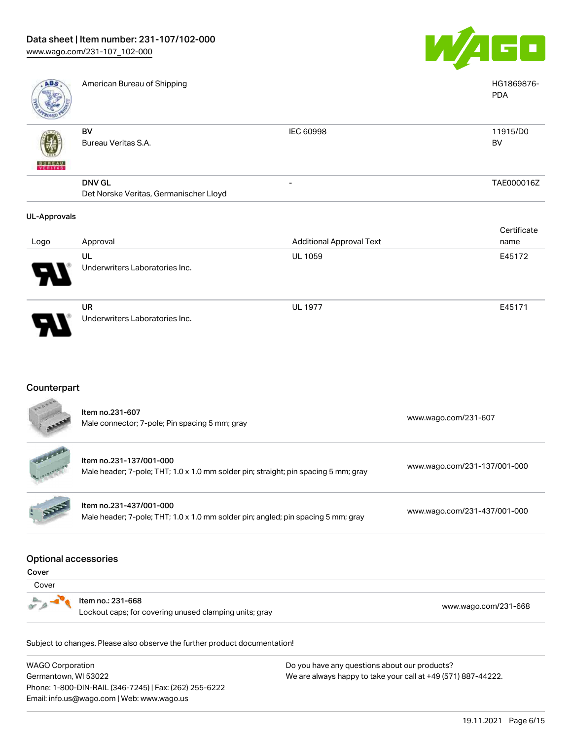

| <b>ABS</b>          | American Bureau of Shipping            |                                 | HG1869876-<br><b>PDA</b> |
|---------------------|----------------------------------------|---------------------------------|--------------------------|
| <b>BUREAU</b>       | BV<br>Bureau Veritas S.A.              | IEC 60998                       | 11915/D0<br>BV           |
|                     | <b>DNV GL</b>                          | -                               | TAE000016Z               |
|                     | Det Norske Veritas, Germanischer Lloyd |                                 |                          |
| <b>UL-Approvals</b> |                                        |                                 |                          |
|                     |                                        |                                 | Certificate              |
| Logo                | Approval                               | <b>Additional Approval Text</b> | name                     |
|                     | UL                                     | <b>UL 1059</b>                  | E45172                   |
|                     | Underwriters Laboratories Inc.         |                                 |                          |

UR Underwriters Laboratories Inc.

# Counterpart

|                             | <b>WAGO Corporation</b><br>Do you have any questions about our products?                                       |                              |  |  |
|-----------------------------|----------------------------------------------------------------------------------------------------------------|------------------------------|--|--|
|                             | Subject to changes. Please also observe the further product documentation!                                     |                              |  |  |
|                             | Item no.: 231-668<br>Lockout caps; for covering unused clamping units; gray                                    | www.wago.com/231-668         |  |  |
| Cover                       |                                                                                                                |                              |  |  |
| Cover                       |                                                                                                                |                              |  |  |
| <b>Optional accessories</b> |                                                                                                                |                              |  |  |
|                             | Item no.231-437/001-000<br>Male header; 7-pole; THT; 1.0 x 1.0 mm solder pin; angled; pin spacing 5 mm; gray   | www.wago.com/231-437/001-000 |  |  |
|                             | Item no.231-137/001-000<br>Male header; 7-pole; THT; 1.0 x 1.0 mm solder pin; straight; pin spacing 5 mm; gray | www.wago.com/231-137/001-000 |  |  |
|                             | Item no.231-607<br>Male connector; 7-pole; Pin spacing 5 mm; gray                                              | www.wago.com/231-607         |  |  |

WA Germantown, WI 53022 Phone: 1-800-DIN-RAIL (346-7245) | Fax: (262) 255-6222 Email: info.us@wago.com | Web: www.wago.us

ly questions about We are always happy to take your call at +49 (571) 887-44222.

UL 1977 E45171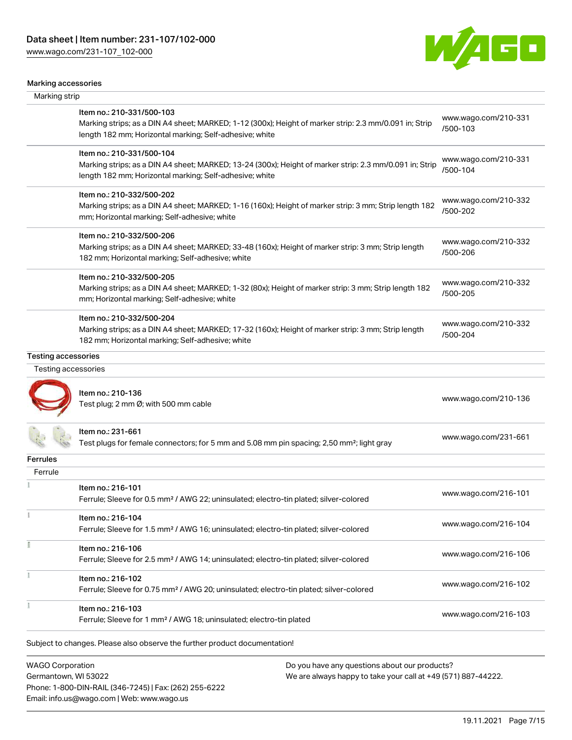[www.wago.com/231-107\\_102-000](http://www.wago.com/231-107_102-000)



#### Marking accessories

| Marking strip              |                                                                                                                                                                                                 |                                  |
|----------------------------|-------------------------------------------------------------------------------------------------------------------------------------------------------------------------------------------------|----------------------------------|
|                            | Item no.: 210-331/500-103<br>Marking strips; as a DIN A4 sheet; MARKED; 1-12 (300x); Height of marker strip: 2.3 mm/0.091 in; Strip<br>length 182 mm; Horizontal marking; Self-adhesive; white  | www.wago.com/210-331<br>/500-103 |
|                            | Item no.: 210-331/500-104<br>Marking strips; as a DIN A4 sheet; MARKED; 13-24 (300x); Height of marker strip: 2.3 mm/0.091 in; Strip<br>length 182 mm; Horizontal marking; Self-adhesive; white | www.wago.com/210-331<br>/500-104 |
|                            | Item no.: 210-332/500-202<br>Marking strips; as a DIN A4 sheet; MARKED; 1-16 (160x); Height of marker strip: 3 mm; Strip length 182<br>mm; Horizontal marking; Self-adhesive; white             | www.wago.com/210-332<br>/500-202 |
|                            | Item no.: 210-332/500-206<br>Marking strips; as a DIN A4 sheet; MARKED; 33-48 (160x); Height of marker strip: 3 mm; Strip length<br>182 mm; Horizontal marking; Self-adhesive; white            | www.wago.com/210-332<br>/500-206 |
|                            | Item no.: 210-332/500-205<br>Marking strips; as a DIN A4 sheet; MARKED; 1-32 (80x); Height of marker strip: 3 mm; Strip length 182<br>mm; Horizontal marking; Self-adhesive; white              | www.wago.com/210-332<br>/500-205 |
|                            | Item no.: 210-332/500-204<br>Marking strips; as a DIN A4 sheet; MARKED; 17-32 (160x); Height of marker strip: 3 mm; Strip length<br>182 mm; Horizontal marking; Self-adhesive; white            | www.wago.com/210-332<br>/500-204 |
| <b>Testing accessories</b> |                                                                                                                                                                                                 |                                  |
| Testing accessories        |                                                                                                                                                                                                 |                                  |
|                            | Item no.: 210-136<br>Test plug; 2 mm Ø; with 500 mm cable                                                                                                                                       | www.wago.com/210-136             |
|                            | Item no.: 231-661<br>Test plugs for female connectors; for 5 mm and 5.08 mm pin spacing; 2,50 mm <sup>2</sup> ; light gray                                                                      | www.wago.com/231-661             |
| <b>Ferrules</b>            |                                                                                                                                                                                                 |                                  |
| Ferrule                    |                                                                                                                                                                                                 |                                  |
|                            | Item no.: 216-101<br>Ferrule; Sleeve for 0.5 mm <sup>2</sup> / AWG 22; uninsulated; electro-tin plated; silver-colored                                                                          | www.wago.com/216-101             |
| Ť                          | Item no.: 216-104<br>Ferrule; Sleeve for 1.5 mm <sup>2</sup> / AWG 16; uninsulated; electro-tin plated; silver-colored                                                                          | www.wago.com/216-104             |
| Ĭ                          | Item no.: 216-106<br>Ferrule; Sleeve for 2.5 mm <sup>2</sup> / AWG 14; uninsulated; electro-tin plated; silver-colored                                                                          | www.wago.com/216-106             |
| ł                          | Item no.: 216-102<br>Ferrule; Sleeve for 0.75 mm <sup>2</sup> / AWG 20; uninsulated; electro-tin plated; silver-colored                                                                         | www.wago.com/216-102             |
|                            | Item no.: 216-103<br>Ferrule; Sleeve for 1 mm <sup>2</sup> / AWG 18; uninsulated; electro-tin plated                                                                                            | www.wago.com/216-103             |
|                            | Subject to changes. Please also observe the further product documentation!                                                                                                                      |                                  |
| <b>WAGO Corporation</b>    | Do you have any questions about our products?                                                                                                                                                   |                                  |

Germantown, WI 53022 Phone: 1-800-DIN-RAIL (346-7245) | Fax: (262) 255-6222 Email: info.us@wago.com | Web: www.wago.us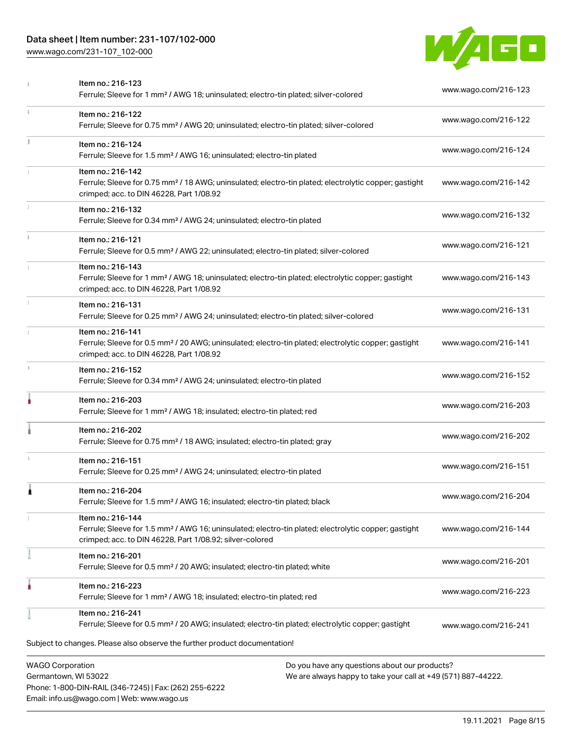# Data sheet | Item number: 231-107/102-000

Phone: 1-800-DIN-RAIL (346-7245) | Fax: (262) 255-6222

Email: info.us@wago.com | Web: www.wago.us

[www.wago.com/231-107\\_102-000](http://www.wago.com/231-107_102-000)



|                         | Item no.: 216-123<br>Ferrule; Sleeve for 1 mm <sup>2</sup> / AWG 18; uninsulated; electro-tin plated; silver-colored                                                                              |                                                                                                                | www.wago.com/216-123 |
|-------------------------|---------------------------------------------------------------------------------------------------------------------------------------------------------------------------------------------------|----------------------------------------------------------------------------------------------------------------|----------------------|
| $\ddot{x}$              | Item no.: 216-122<br>Ferrule; Sleeve for 0.75 mm <sup>2</sup> / AWG 20; uninsulated; electro-tin plated; silver-colored                                                                           |                                                                                                                | www.wago.com/216-122 |
| J.                      | Item no.: 216-124<br>Ferrule; Sleeve for 1.5 mm <sup>2</sup> / AWG 16; uninsulated; electro-tin plated                                                                                            |                                                                                                                | www.wago.com/216-124 |
|                         | Item no.: 216-142<br>Ferrule; Sleeve for 0.75 mm <sup>2</sup> / 18 AWG; uninsulated; electro-tin plated; electrolytic copper; gastight<br>crimped; acc. to DIN 46228, Part 1/08.92                |                                                                                                                | www.wago.com/216-142 |
|                         | Item no.: 216-132<br>Ferrule; Sleeve for 0.34 mm <sup>2</sup> / AWG 24; uninsulated; electro-tin plated                                                                                           |                                                                                                                | www.wago.com/216-132 |
| ī.                      | Item no.: 216-121<br>Ferrule; Sleeve for 0.5 mm <sup>2</sup> / AWG 22; uninsulated; electro-tin plated; silver-colored                                                                            |                                                                                                                | www.wago.com/216-121 |
|                         | Item no.: 216-143<br>Ferrule; Sleeve for 1 mm <sup>2</sup> / AWG 18; uninsulated; electro-tin plated; electrolytic copper; gastight<br>crimped; acc. to DIN 46228, Part 1/08.92                   |                                                                                                                | www.wago.com/216-143 |
|                         | Item no.: 216-131<br>Ferrule; Sleeve for 0.25 mm <sup>2</sup> / AWG 24; uninsulated; electro-tin plated; silver-colored                                                                           |                                                                                                                | www.wago.com/216-131 |
|                         | Item no.: 216-141<br>Ferrule; Sleeve for 0.5 mm <sup>2</sup> / 20 AWG; uninsulated; electro-tin plated; electrolytic copper; gastight<br>crimped; acc. to DIN 46228, Part 1/08.92                 |                                                                                                                | www.wago.com/216-141 |
| J.                      | Item no.: 216-152<br>Ferrule; Sleeve for 0.34 mm <sup>2</sup> / AWG 24; uninsulated; electro-tin plated                                                                                           |                                                                                                                | www.wago.com/216-152 |
|                         | Item no.: 216-203<br>Ferrule; Sleeve for 1 mm <sup>2</sup> / AWG 18; insulated; electro-tin plated; red                                                                                           |                                                                                                                | www.wago.com/216-203 |
|                         | Item no.: 216-202<br>Ferrule; Sleeve for 0.75 mm <sup>2</sup> / 18 AWG; insulated; electro-tin plated; gray                                                                                       |                                                                                                                | www.wago.com/216-202 |
|                         | Item no.: 216-151<br>Ferrule; Sleeve for 0.25 mm <sup>2</sup> / AWG 24; uninsulated; electro-tin plated                                                                                           |                                                                                                                | www.wago.com/216-151 |
| 1                       | Item no.: 216-204<br>Ferrule; Sleeve for 1.5 mm <sup>2</sup> / AWG 16; insulated; electro-tin plated; black                                                                                       |                                                                                                                | www.wago.com/216-204 |
|                         | Item no.: 216-144<br>Ferrule; Sleeve for 1.5 mm <sup>2</sup> / AWG 16; uninsulated; electro-tin plated; electrolytic copper; gastight<br>crimped; acc. to DIN 46228, Part 1/08.92; silver-colored |                                                                                                                | www.wago.com/216-144 |
|                         | Item no.: 216-201<br>Ferrule; Sleeve for 0.5 mm <sup>2</sup> / 20 AWG; insulated; electro-tin plated; white                                                                                       |                                                                                                                | www.wago.com/216-201 |
|                         | Item no.: 216-223<br>Ferrule; Sleeve for 1 mm <sup>2</sup> / AWG 18; insulated; electro-tin plated; red                                                                                           |                                                                                                                | www.wago.com/216-223 |
|                         | Item no.: 216-241<br>Ferrule; Sleeve for 0.5 mm <sup>2</sup> / 20 AWG; insulated; electro-tin plated; electrolytic copper; gastight                                                               |                                                                                                                | www.wago.com/216-241 |
|                         | Subject to changes. Please also observe the further product documentation!                                                                                                                        |                                                                                                                |                      |
| <b>WAGO Corporation</b> | Germantown, WI 53022                                                                                                                                                                              | Do you have any questions about our products?<br>We are always happy to take your call at +49 (571) 887-44222. |                      |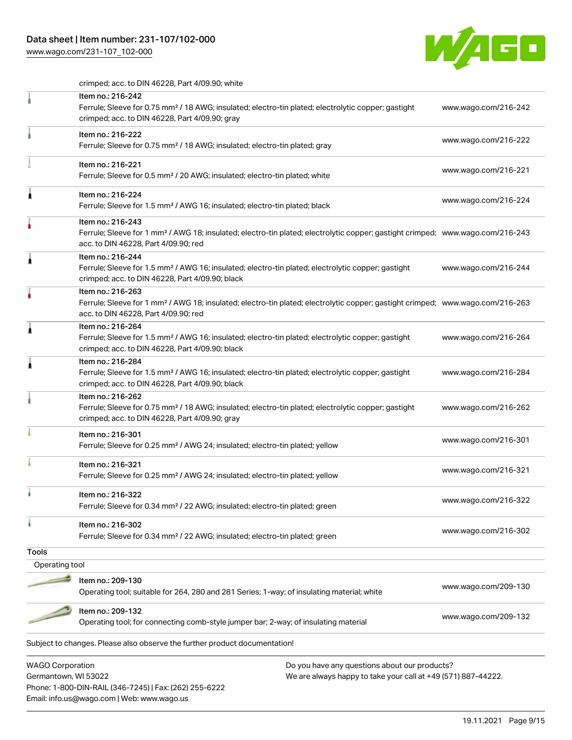# Data sheet | Item number: 231-107/102-000

Phone: 1-800-DIN-RAIL (346-7245) | Fax: (262) 255-6222

Email: info.us@wago.com | Web: www.wago.us

[www.wago.com/231-107\\_102-000](http://www.wago.com/231-107_102-000)



crimped; acc. to DIN 46228, Part 4/09.90; white

|                         | Item no.: 216-242<br>Ferrule; Sleeve for 0.75 mm <sup>2</sup> / 18 AWG; insulated; electro-tin plated; electrolytic copper; gastight<br>crimped; acc. to DIN 46228, Part 4/09.90; gray                  |                                                               | www.wago.com/216-242 |
|-------------------------|---------------------------------------------------------------------------------------------------------------------------------------------------------------------------------------------------------|---------------------------------------------------------------|----------------------|
|                         | Item no.: 216-222<br>Ferrule; Sleeve for 0.75 mm <sup>2</sup> / 18 AWG; insulated; electro-tin plated; gray                                                                                             |                                                               | www.wago.com/216-222 |
|                         | Item no.: 216-221<br>Ferrule; Sleeve for 0.5 mm <sup>2</sup> / 20 AWG; insulated; electro-tin plated; white                                                                                             |                                                               | www.wago.com/216-221 |
| Â                       | Item no.: 216-224<br>Ferrule; Sleeve for 1.5 mm <sup>2</sup> / AWG 16; insulated; electro-tin plated; black                                                                                             |                                                               | www.wago.com/216-224 |
|                         | Item no.: 216-243<br>Ferrule; Sleeve for 1 mm <sup>2</sup> / AWG 18; insulated; electro-tin plated; electrolytic copper; gastight crimped; www.wago.com/216-243<br>acc. to DIN 46228, Part 4/09.90; red |                                                               |                      |
| À                       | Item no.: 216-244<br>Ferrule; Sleeve for 1.5 mm <sup>2</sup> / AWG 16; insulated; electro-tin plated; electrolytic copper; gastight<br>crimped; acc. to DIN 46228, Part 4/09.90; black                  |                                                               | www.wago.com/216-244 |
|                         | Item no.: 216-263<br>Ferrule; Sleeve for 1 mm <sup>2</sup> / AWG 18; insulated; electro-tin plated; electrolytic copper; gastight crimped; www.wago.com/216-263<br>acc. to DIN 46228, Part 4/09.90; red |                                                               |                      |
| ۸                       | Item no.: 216-264<br>Ferrule; Sleeve for 1.5 mm <sup>2</sup> / AWG 16; insulated; electro-tin plated; electrolytic copper; gastight<br>crimped; acc. to DIN 46228, Part 4/09.90; black                  |                                                               | www.wago.com/216-264 |
| j                       | Item no.: 216-284<br>Ferrule; Sleeve for 1.5 mm <sup>2</sup> / AWG 16; insulated; electro-tin plated; electrolytic copper; gastight<br>crimped; acc. to DIN 46228, Part 4/09.90; black                  |                                                               | www.wago.com/216-284 |
|                         | Item no.: 216-262<br>Ferrule; Sleeve for 0.75 mm <sup>2</sup> / 18 AWG; insulated; electro-tin plated; electrolytic copper; gastight<br>crimped; acc. to DIN 46228, Part 4/09.90; gray                  |                                                               | www.wago.com/216-262 |
|                         | Item no.: 216-301<br>Ferrule; Sleeve for 0.25 mm <sup>2</sup> / AWG 24; insulated; electro-tin plated; yellow                                                                                           |                                                               | www.wago.com/216-301 |
|                         | Item no.: 216-321<br>Ferrule; Sleeve for 0.25 mm <sup>2</sup> / AWG 24; insulated; electro-tin plated; yellow                                                                                           |                                                               | www.wago.com/216-321 |
| à                       | Item no.: 216-322<br>Ferrule; Sleeve for 0.34 mm <sup>2</sup> / 22 AWG; insulated; electro-tin plated; green                                                                                            |                                                               | www.wago.com/216-322 |
| ı                       | Item no.: 216-302<br>Ferrule; Sleeve for 0.34 mm <sup>2</sup> / 22 AWG; insulated; electro-tin plated; green                                                                                            |                                                               | www.wago.com/216-302 |
| Tools                   |                                                                                                                                                                                                         |                                                               |                      |
| Operating tool          |                                                                                                                                                                                                         |                                                               |                      |
|                         | Item no.: 209-130                                                                                                                                                                                       |                                                               |                      |
|                         | Operating tool; suitable for 264, 280 and 281 Series; 1-way; of insulating material; white                                                                                                              |                                                               | www.wago.com/209-130 |
|                         | Item no.: 209-132<br>Operating tool; for connecting comb-style jumper bar; 2-way; of insulating material                                                                                                |                                                               | www.wago.com/209-132 |
|                         | Subject to changes. Please also observe the further product documentation!                                                                                                                              |                                                               |                      |
| <b>WAGO Corporation</b> |                                                                                                                                                                                                         | Do you have any questions about our products?                 |                      |
| Germantown, WI 53022    |                                                                                                                                                                                                         | We are always happy to take your call at +49 (571) 887-44222. |                      |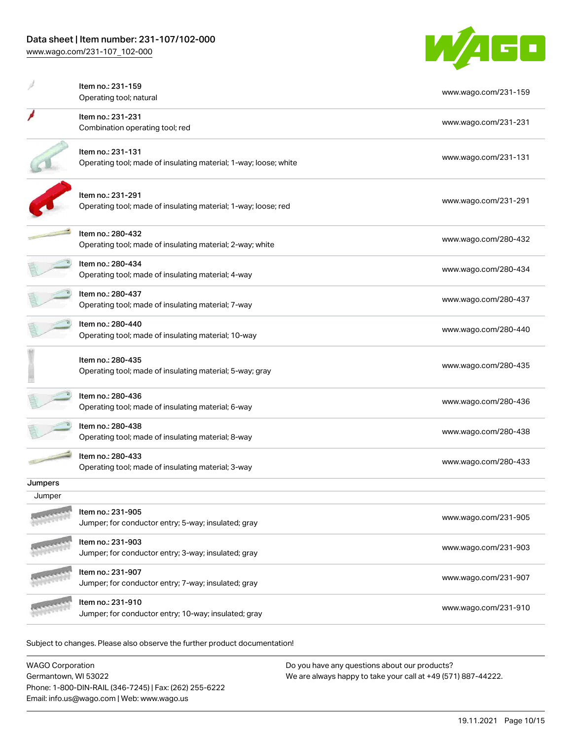

|         | Item no.: 231-159<br>Operating tool; natural                                          | www.wago.com/231-159 |
|---------|---------------------------------------------------------------------------------------|----------------------|
|         | Item no.: 231-231<br>Combination operating tool; red                                  | www.wago.com/231-231 |
|         | Item no.: 231-131<br>Operating tool; made of insulating material; 1-way; loose; white | www.wago.com/231-131 |
|         | Item no.: 231-291<br>Operating tool; made of insulating material; 1-way; loose; red   | www.wago.com/231-291 |
|         | Item no.: 280-432<br>Operating tool; made of insulating material; 2-way; white        | www.wago.com/280-432 |
|         | Item no.: 280-434<br>Operating tool; made of insulating material; 4-way               | www.wago.com/280-434 |
|         | Item no.: 280-437<br>Operating tool; made of insulating material; 7-way               | www.wago.com/280-437 |
|         | Item no.: 280-440<br>Operating tool; made of insulating material; 10-way              | www.wago.com/280-440 |
|         | Item no.: 280-435<br>Operating tool; made of insulating material; 5-way; gray         | www.wago.com/280-435 |
|         | Item no.: 280-436<br>Operating tool; made of insulating material; 6-way               | www.wago.com/280-436 |
|         | Item no.: 280-438<br>Operating tool; made of insulating material; 8-way               | www.wago.com/280-438 |
|         | Item no.: 280-433<br>Operating tool; made of insulating material; 3-way               | www.wago.com/280-433 |
| Jumpers |                                                                                       |                      |
| Jumper  |                                                                                       |                      |
|         | Item no.: 231-905<br>Jumper; for conductor entry; 5-way; insulated; gray              | www.wago.com/231-905 |
|         | Item no.: 231-903<br>Jumper; for conductor entry; 3-way; insulated; gray              | www.wago.com/231-903 |
|         | Item no.: 231-907<br>Jumper; for conductor entry; 7-way; insulated; gray              | www.wago.com/231-907 |
|         | Item no.: 231-910<br>Jumper; for conductor entry; 10-way; insulated; gray             | www.wago.com/231-910 |
|         |                                                                                       |                      |

Subject to changes. Please also observe the further product documentation!

| <b>WAGO Corporation</b>                                | Do you have any questions about our products?                 |
|--------------------------------------------------------|---------------------------------------------------------------|
| Germantown, WI 53022                                   | We are always happy to take your call at +49 (571) 887-44222. |
| Phone: 1-800-DIN-RAIL (346-7245)   Fax: (262) 255-6222 |                                                               |
| Email: info.us@wago.com   Web: www.wago.us             |                                                               |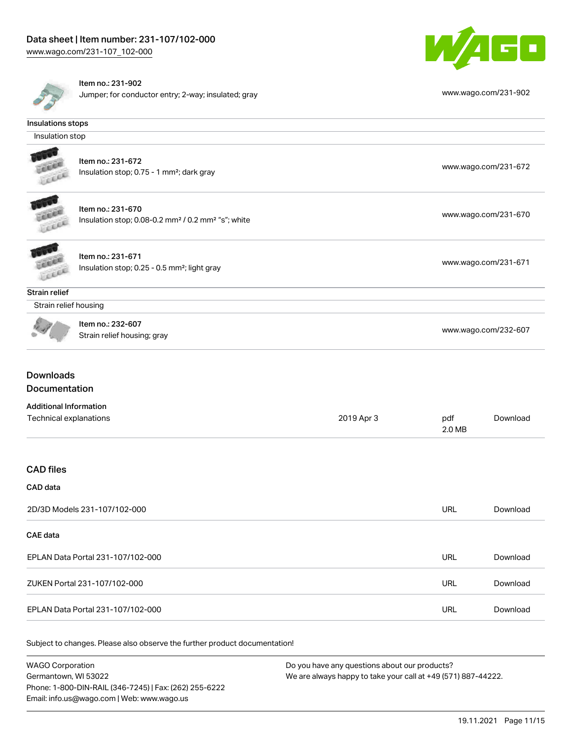



Item no.: 231-902

Jumper; for conductor entry; 2-way; insulated; gray [www.wago.com/231-902](http://www.wago.com/231-902)

| Insulations stops                                       |                                                                                                 |            |               |                      |
|---------------------------------------------------------|-------------------------------------------------------------------------------------------------|------------|---------------|----------------------|
| Insulation stop                                         |                                                                                                 |            |               |                      |
|                                                         | Item no.: 231-672<br>Insulation stop; 0.75 - 1 mm <sup>2</sup> ; dark gray                      |            |               | www.wago.com/231-672 |
| LEKEL                                                   | Item no.: 231-670<br>Insulation stop; 0.08-0.2 mm <sup>2</sup> / 0.2 mm <sup>2</sup> "s"; white |            |               | www.wago.com/231-670 |
|                                                         | Item no.: 231-671<br>Insulation stop; 0.25 - 0.5 mm <sup>2</sup> ; light gray                   |            |               | www.wago.com/231-671 |
| Strain relief                                           |                                                                                                 |            |               |                      |
| Strain relief housing                                   |                                                                                                 |            |               |                      |
|                                                         | Item no.: 232-607<br>Strain relief housing; gray                                                |            |               | www.wago.com/232-607 |
| <b>Downloads</b>                                        |                                                                                                 |            |               |                      |
| Documentation                                           |                                                                                                 |            |               |                      |
| <b>Additional Information</b><br>Technical explanations |                                                                                                 | 2019 Apr 3 | pdf<br>2.0 MB | Download             |
| <b>CAD</b> files                                        |                                                                                                 |            |               |                      |
| CAD data                                                |                                                                                                 |            |               |                      |
|                                                         | 2D/3D Models 231-107/102-000                                                                    |            | <b>URL</b>    | Download             |
| <b>CAE</b> data                                         |                                                                                                 |            |               |                      |
|                                                         | EPLAN Data Portal 231-107/102-000                                                               |            | URL           | Download             |
|                                                         | ZUKEN Portal 231-107/102-000                                                                    |            | URL           | Download             |

Subject to changes. Please also observe the further product documentation!

| WAGO Corporation                                       | Do you have any questions about our products?                 |
|--------------------------------------------------------|---------------------------------------------------------------|
| Germantown. WI 53022                                   | We are always happy to take your call at +49 (571) 887-44222. |
| Phone: 1-800-DIN-RAIL (346-7245)   Fax: (262) 255-6222 |                                                               |
| Email: info.us@wago.com   Web: www.wago.us             |                                                               |

EPLAN Data Portal 231-107/102-000 URL [Download](https://www.wago.com/global/d/EPLAN_URLS_231-107_102-000)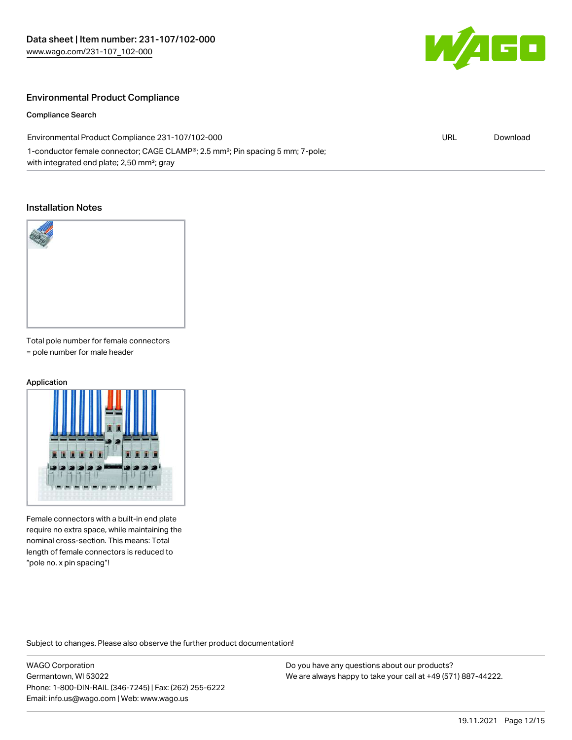

# Environmental Product Compliance

Compliance Search

Environmental Product Compliance 231-107/102-000 1-conductor female connector; CAGE CLAMP®; 2.5 mm²; Pin spacing 5 mm; 7-pole; with integrated end plate; 2,50 mm²; gray URL [Download](https://www.wago.com/global/d/ComplianceLinkMediaContainer_231-107_102-000)

#### Installation Notes



Total pole number for female connectors = pole number for male header

#### Application



Female connectors with a built-in end plate require no extra space, while maintaining the nominal cross-section. This means: Total length of female connectors is reduced to "pole no. x pin spacing"!

Subject to changes. Please also observe the further product documentation!

WAGO Corporation Germantown, WI 53022 Phone: 1-800-DIN-RAIL (346-7245) | Fax: (262) 255-6222 Email: info.us@wago.com | Web: www.wago.us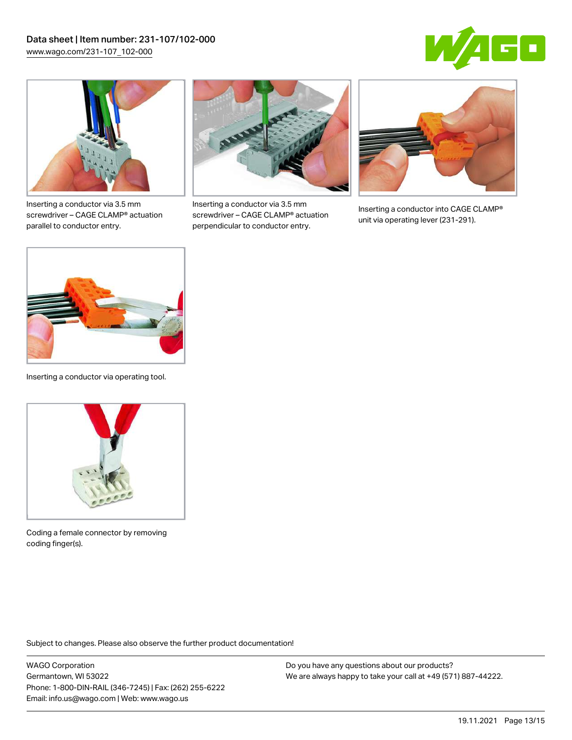



Inserting a conductor via 3.5 mm screwdriver – CAGE CLAMP® actuation parallel to conductor entry.



Inserting a conductor via 3.5 mm screwdriver – CAGE CLAMP® actuation perpendicular to conductor entry.



Inserting a conductor into CAGE CLAMP® unit via operating lever (231-291).



Inserting a conductor via operating tool.



Coding a female connector by removing coding finger(s).

Subject to changes. Please also observe the further product documentation!

WAGO Corporation Germantown, WI 53022 Phone: 1-800-DIN-RAIL (346-7245) | Fax: (262) 255-6222 Email: info.us@wago.com | Web: www.wago.us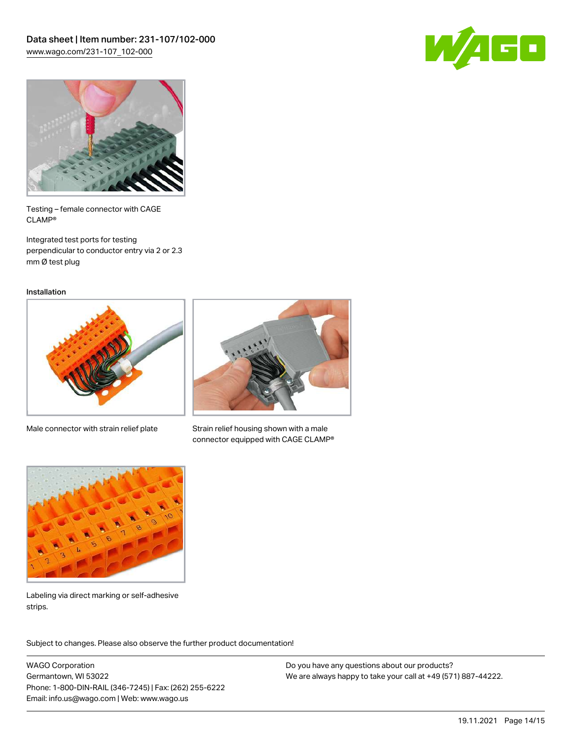



Testing – female connector with CAGE CLAMP®

Integrated test ports for testing perpendicular to conductor entry via 2 or 2.3 mm Ø test plug

Installation



Male connector with strain relief plate



Strain relief housing shown with a male connector equipped with CAGE CLAMP®



Labeling via direct marking or self-adhesive strips.

Subject to changes. Please also observe the further product documentation! Product family

WAGO Corporation Germantown, WI 53022 Phone: 1-800-DIN-RAIL (346-7245) | Fax: (262) 255-6222 Email: info.us@wago.com | Web: www.wago.us